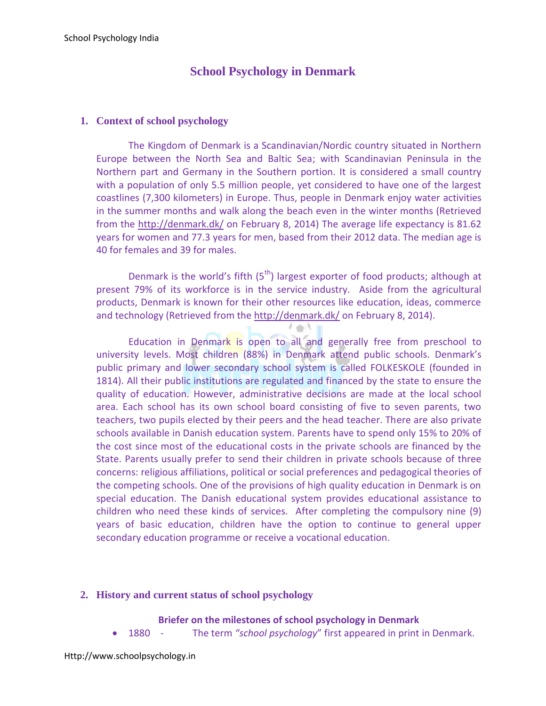# **School Psychology in Denmark**

### **1. Context of school psychology**

The Kingdom of Denmark is a Scandinavian/Nordic country situated in Northern Europe between the North Sea and Baltic Sea; with Scandinavian Peninsula in the Northern part and Germany in the Southern portion. It is considered a small country with a population of only 5.5 million people, yet considered to have one of the largest coastlines (7,300 kilometers) in Europe. Thus, people in Denmark enjoy water activities in the summer months and walk along the beach even in the winter months (Retrieved from the<http://denmark.dk/> on February 8, 2014) The average life expectancy is 81.62 years for women and 77.3 years for men, based from their 2012 data. The median age is 40 for females and 39 for males.

Denmark is the world's fifth  $(5<sup>th</sup>)$  largest exporter of food products; although at present 79% of its workforce is in the service industry. Aside from the agricultural products, Denmark is known for their other resources like education, ideas, commerce and technology (Retrieved from the<http://denmark.dk/> on February 8, 2014).

Education in Denmark is open to all and generally free from preschool to university levels. Most children (88%) in Denmark attend public schools. Denmark's public primary and lower secondary school system is called FOLKESKOLE (founded in 1814). All their public institutions are regulated and financed by the state to ensure the quality of education. However, administrative decisions are made at the local school area. Each school has its own school board consisting of five to seven parents, two teachers, two pupils elected by their peers and the head teacher. There are also private schools available in Danish education system. Parents have to spend only 15% to 20% of the cost since most of the educational costs in the private schools are financed by the State. Parents usually prefer to send their children in private schools because of three concerns: religious affiliations, political or social preferences and pedagogical theories of the competing schools. One of the provisions of high quality education in Denmark is on special education. The Danish educational system provides educational assistance to children who need these kinds of services. After completing the compulsory nine (9) years of basic education, children have the option to continue to general upper secondary education programme or receive a vocational education.

### **2. History and current status of school psychology**

### **Briefer on the milestones of school psychology in Denmark**

1880 - The term *"school psychology*" first appeared in print in Denmark.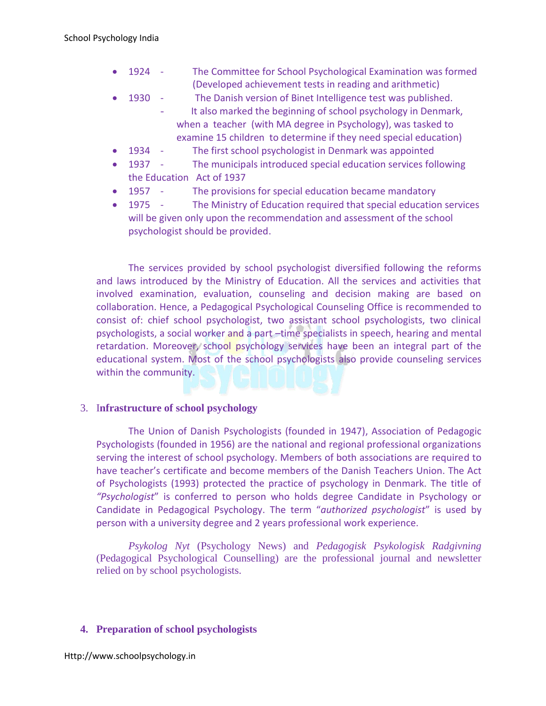- 1924 The Committee for School Psychological Examination was formed (Developed achievement tests in reading and arithmetic)
- 1930 The Danish version of Binet Intelligence test was published.
	- It also marked the beginning of school psychology in Denmark, when a teacher (with MA degree in Psychology), was tasked to examine 15 children to determine if they need special education)
- 1934 The first school psychologist in Denmark was appointed
- 1937 The municipals introduced special education services following the Education Act of 1937
- 1957 The provisions for special education became mandatory
- 1975 The Ministry of Education required that special education services will be given only upon the recommendation and assessment of the school psychologist should be provided.

The services provided by school psychologist diversified following the reforms and laws introduced by the Ministry of Education. All the services and activities that involved examination, evaluation, counseling and decision making are based on collaboration. Hence, a Pedagogical Psychological Counseling Office is recommended to consist of: chief school psychologist, two assistant school psychologists, two clinical psychologists, a social worker and a part –time specialists in speech, hearing and mental retardation. Moreover, school psychology services have been an integral part of the educational system. Most of the school psychologists also provide counseling services within the community.

# 3. I**nfrastructure of school psychology**

The Union of Danish Psychologists (founded in 1947), Association of Pedagogic Psychologists (founded in 1956) are the national and regional professional organizations serving the interest of school psychology. Members of both associations are required to have teacher's certificate and become members of the Danish Teachers Union. The Act of Psychologists (1993) protected the practice of psychology in Denmark. The title of *"Psychologist*" is conferred to person who holds degree Candidate in Psychology or Candidate in Pedagogical Psychology. The term "*authorized psychologist*" is used by person with a university degree and 2 years professional work experience.

*Psykolog Nyt* (Psychology News) and *Pedagogisk Psykologisk Radgivning* (Pedagogical Psychological Counselling) are the professional journal and newsletter relied on by school psychologists.

# **4. Preparation of school psychologists**